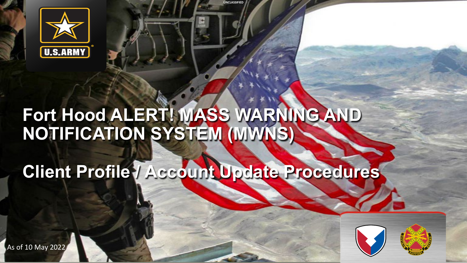

## **Fort Hood ALERT! MASS WARNING AND NOTIFICATION SYSTEM (MWNS)**

**UNCLASSIFIED**

**Client Profile / Account Update Procedures**



As of 10 May 2022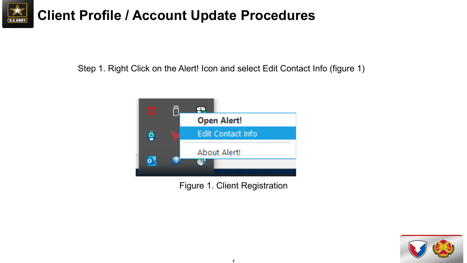

Step 1. Right Click on the Alert! Icon and select Edit Contact Info (figure 1)



Figure 1. Client Registration

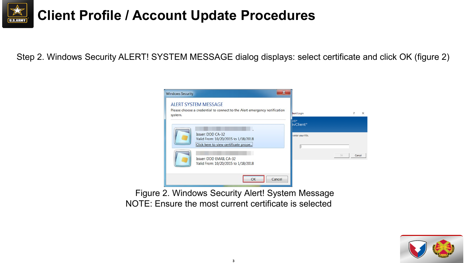

Step 2. Windows Security ALERT! SYSTEM MESSAGE dialog displays: select certificate and click OK (figure 2)



Figure 2. Windows Security Alert! System Message NOTE: Ensure the most current certificate is selected

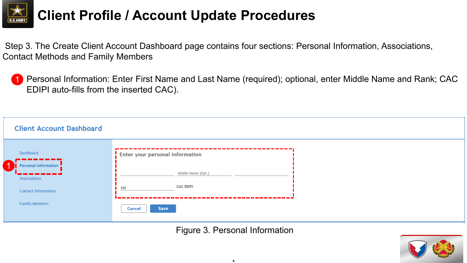

Step 3. The Create Client Account Dashboard page contains four sections: Personal Information, Associations, Contact Methods and Family Members

1 Personal Information: Enter First Name and Last Name (required); optional, enter Middle Name and Rank; CAC EDIPI auto-fills from the inserted CAC).

| <b>Client Account Dashboard</b>                   |        |                                 |  |
|---------------------------------------------------|--------|---------------------------------|--|
| Dashboard<br>----------                           |        | Enter your personal information |  |
| Personal Information<br>---------<br>Associations |        | Middle Name (Opt.)              |  |
| <b>Contact Information</b>                        | CIV    | <b>CAC EDIPI</b>                |  |
| <b>Family Members</b>                             | Cancel | Save                            |  |

Figure 3. Personal Information

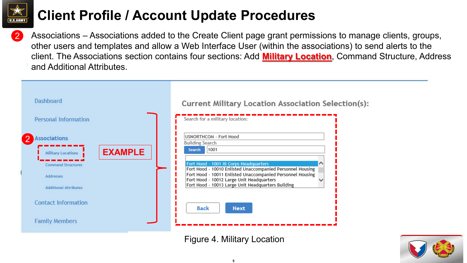

2

#### **Client Profile / Account Update Procedures**

Associations – Associations added to the Create Client page grant permissions to manage clients, groups, other users and templates and allow a Web Interface User (within the associations) to send alerts to the client. The Associations section contains four sections: Add **Military Location**, Command Structure, Address and Additional Attributes.



Figure 4. Military Location

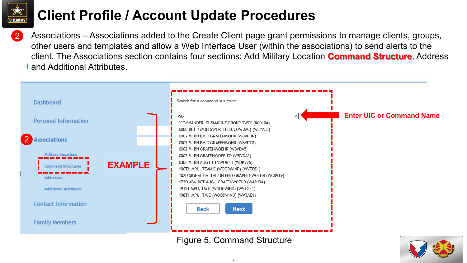

Associations – Associations added to the Create Client page grant permissions to manage clients, groups, other users and templates and allow a Web Interface User (within the associations) to send alerts to the client. The Associations section contains four sections: Add Military Location **Command Structure**, Address and Additional Attributes.



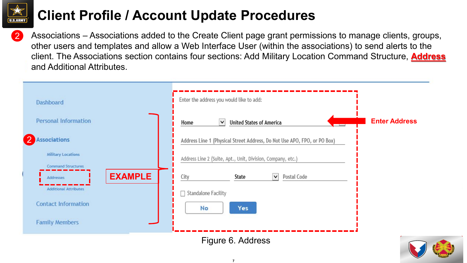

2 Associations – Associations added to the Create Client page grant permissions to manage clients, groups, other users and templates and allow a Web Interface User (within the associations) to send alerts to the client. The Associations section contains four sections: Add Military Location Command Structure, **Address** and Additional Attributes.

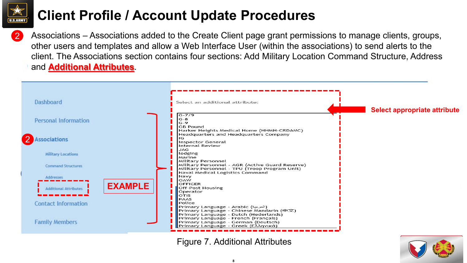

Associations – Associations added to the Create Client page grant permissions to manage clients, groups, other users and templates and allow a Web Interface User (within the associations) to send alerts to the client. The Associations section contains four sections: Add Military Location Command Structure, Address and **Additional Attributes**.



Figure 7. Additional Attributes

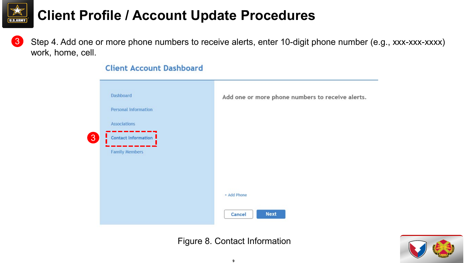

Step 4. Add one or more phone numbers to receive alerts, enter 10-digit phone number (e.g., xxx-xxx-xxxx) work, home, cell. 3

|   | Dashboard<br><b>Personal Information</b> | Add one or more phone numbers to receive alerts |
|---|------------------------------------------|-------------------------------------------------|
|   | <b>Associations</b>                      |                                                 |
| 3 | Contact Information                      |                                                 |
|   | <b>Family Members</b>                    |                                                 |
|   |                                          |                                                 |
|   |                                          |                                                 |
|   |                                          | + Add Phone                                     |
|   |                                          | <b>Next</b><br>Cancel                           |

#### **Client Account Dashboard**

Figure 8. Contact Information

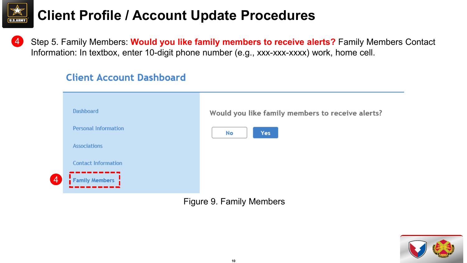

4

### **Client Profile / Account Update Procedures**

Step 5. Family Members: **Would you like family members to receive alerts?** Family Members Contact Information: In textbox, enter 10-digit phone number (e.g., xxx-xxx-xxxx) work, home cell. 4

#### **Client Account Dashboard**



Figure 9. Family Members